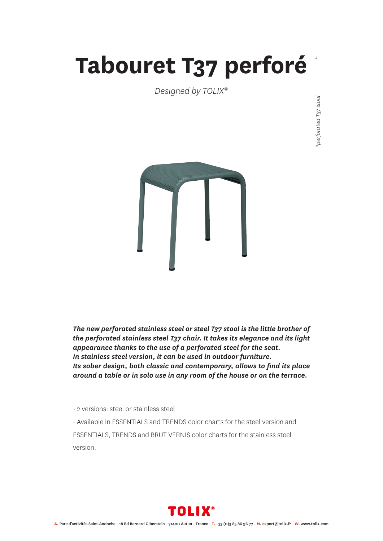## **Tabouret T37 perforé**

*Designed by TOLIX®*





*The new perforated stainless steel or steel T37 stool is the little brother of the perforated stainless steel T37 chair. It takes its elegance and its light appearance thanks to the use of a perforated steel for the seat. In stainless steel version, it can be used in outdoor furniture. Its sober design, both classic and contemporary, allows to find its place around a table or in solo use in any room of the house or on the terrace.* 

• 2 versions: steel or stainless steel

• Available in ESSENTIALS and TRENDS color charts for the steel version and ESSENTIALS, TRENDS and BRUT VERNIS color charts for the stainless steel version.